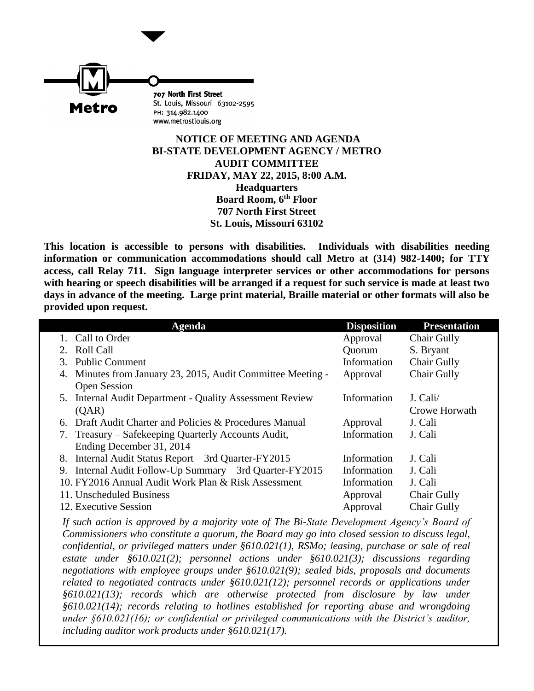

## **NOTICE OF MEETING AND AGENDA BI-STATE DEVELOPMENT AGENCY / METRO AUDIT COMMITTEE FRIDAY, MAY 22, 2015, 8:00 A.M. Headquarters Board Room, 6th Floor 707 North First Street St. Louis, Missouri 63102**

**This location is accessible to persons with disabilities. Individuals with disabilities needing information or communication accommodations should call Metro at (314) 982-1400; for TTY access, call Relay 711. Sign language interpreter services or other accommodations for persons with hearing or speech disabilities will be arranged if a request for such service is made at least two days in advance of the meeting. Large print material, Braille material or other formats will also be provided upon request.**

|    | <b>Agenda</b>                                               | <b>Disposition</b> | <b>Presentation</b> |
|----|-------------------------------------------------------------|--------------------|---------------------|
|    | 1. Call to Order                                            | Approval           | Chair Gully         |
|    | 2. Roll Call                                                | Quorum             | S. Bryant           |
| 3. | <b>Public Comment</b>                                       | Information        | Chair Gully         |
|    | 4. Minutes from January 23, 2015, Audit Committee Meeting - | Approval           | Chair Gully         |
|    | <b>Open Session</b>                                         |                    |                     |
|    | 5. Internal Audit Department - Quality Assessment Review    | Information        | J. Cali/            |
|    | (QAR)                                                       |                    | Crowe Horwath       |
|    | 6. Draft Audit Charter and Policies & Procedures Manual     | Approval           | J. Cali             |
|    | 7. Treasury – Safekeeping Quarterly Accounts Audit,         | Information        | J. Cali             |
|    | Ending December 31, 2014                                    |                    |                     |
|    | 8. Internal Audit Status Report - 3rd Quarter-FY2015        | Information        | J. Cali             |
|    | 9. Internal Audit Follow-Up Summary – 3rd Quarter-FY2015    | Information        | J. Cali             |
|    | 10. FY2016 Annual Audit Work Plan & Risk Assessment         | Information        | J. Cali             |
|    | 11. Unscheduled Business                                    | Approval           | Chair Gully         |
|    | 12. Executive Session                                       | Approval           | Chair Gully         |

*If such action is approved by a majority vote of The Bi-State Development Agency's Board of Commissioners who constitute a quorum, the Board may go into closed session to discuss legal, confidential, or privileged matters under §610.021(1), RSMo; leasing, purchase or sale of real estate under §610.021(2); personnel actions under §610.021(3); discussions regarding negotiations with employee groups under §610.021(9); sealed bids, proposals and documents related to negotiated contracts under §610.021(12); personnel records or applications under §610.021(13); records which are otherwise protected from disclosure by law under §610.021(14); records relating to hotlines established for reporting abuse and wrongdoing under §610.021(16); or confidential or privileged communications with the District's auditor, including auditor work products under §610.021(17).*